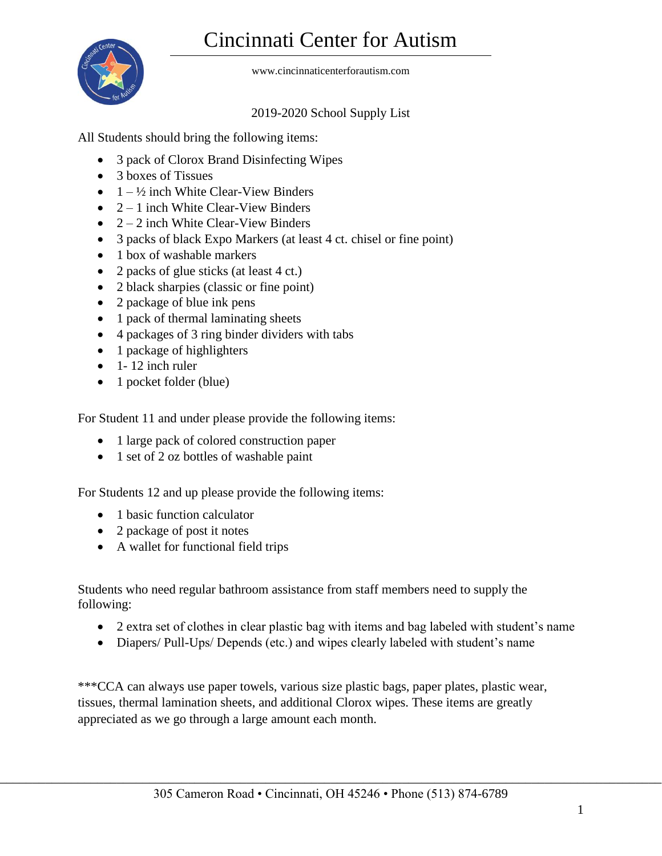## Cincinnati Center for Autism



www.cincinnaticenterforautism.com

## 2019-2020 School Supply List

All Students should bring the following items:

- 3 pack of Clorox Brand Disinfecting Wipes
- 3 boxes of Tissues
- $\bullet$  1  $\frac{1}{2}$  inch White Clear-View Binders
- $\bullet$  2 1 inch White Clear-View Binders
- $\bullet$  2 2 inch White Clear-View Binders
- 3 packs of black Expo Markers (at least 4 ct. chisel or fine point)
- 1 box of washable markers
- 2 packs of glue sticks (at least 4 ct.)
- 2 black sharpies (classic or fine point)
- 2 package of blue ink pens
- 1 pack of thermal laminating sheets
- 4 packages of 3 ring binder dividers with tabs
- 1 package of highlighters
- $\bullet$  1- 12 inch ruler
- 1 pocket folder (blue)

For Student 11 and under please provide the following items:

- 1 large pack of colored construction paper
- 1 set of 2 oz bottles of washable paint

For Students 12 and up please provide the following items:

- 1 basic function calculator
- 2 package of post it notes
- A wallet for functional field trips

Students who need regular bathroom assistance from staff members need to supply the following:

- 2 extra set of clothes in clear plastic bag with items and bag labeled with student's name
- Diapers/ Pull-Ups/ Depends (etc.) and wipes clearly labeled with student's name

\*\*\*CCA can always use paper towels, various size plastic bags, paper plates, plastic wear, tissues, thermal lamination sheets, and additional Clorox wipes. These items are greatly appreciated as we go through a large amount each month.